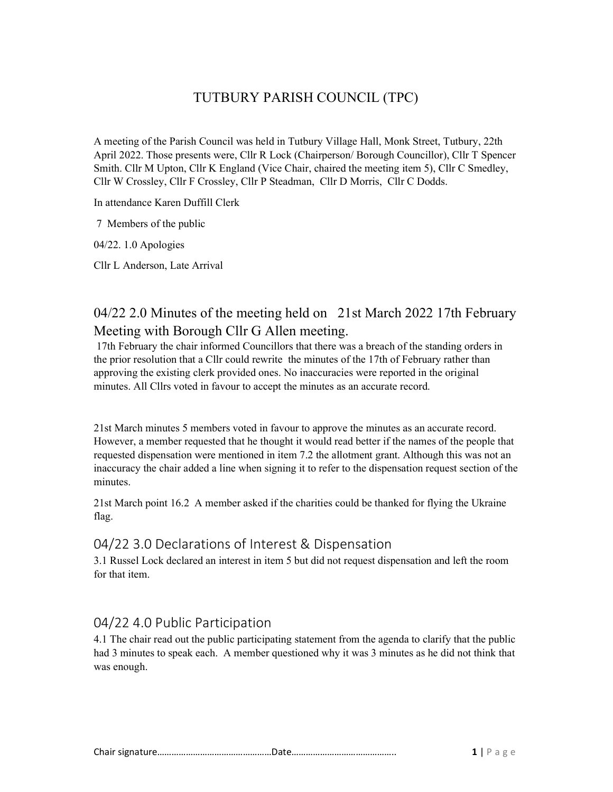## TUTBURY PARISH COUNCIL (TPC)

A meeting of the Parish Council was held in Tutbury Village Hall, Monk Street, Tutbury, 22th April 2022. Those presents were, Cllr R Lock (Chairperson/ Borough Councillor), Cllr T Spencer Smith. Cllr M Upton, Cllr K England (Vice Chair, chaired the meeting item 5), Cllr C Smedley, Cllr W Crossley, Cllr F Crossley, Cllr P Steadman, Cllr D Morris, Cllr C Dodds.

In attendance Karen Duffill Clerk

7 Members of the public

04/22. 1.0 Apologies

Cllr L Anderson, Late Arrival

### 04/22 2.0 Minutes of the meeting held on 21st March 2022 17th February Meeting with Borough Cllr G Allen meeting.

 17th February the chair informed Councillors that there was a breach of the standing orders in the prior resolution that a Cllr could rewrite the minutes of the 17th of February rather than approving the existing clerk provided ones. No inaccuracies were reported in the original minutes. All Cllrs voted in favour to accept the minutes as an accurate record.

21st March minutes 5 members voted in favour to approve the minutes as an accurate record. However, a member requested that he thought it would read better if the names of the people that requested dispensation were mentioned in item 7.2 the allotment grant. Although this was not an inaccuracy the chair added a line when signing it to refer to the dispensation request section of the minutes.

21st March point 16.2 A member asked if the charities could be thanked for flying the Ukraine flag.

### 04/22 3.0 Declarations of Interest & Dispensation

3.1 Russel Lock declared an interest in item 5 but did not request dispensation and left the room for that item.

### 04/22 4.0 Public Participation

4.1 The chair read out the public participating statement from the agenda to clarify that the public had 3 minutes to speak each. A member questioned why it was 3 minutes as he did not think that was enough.

|--|--|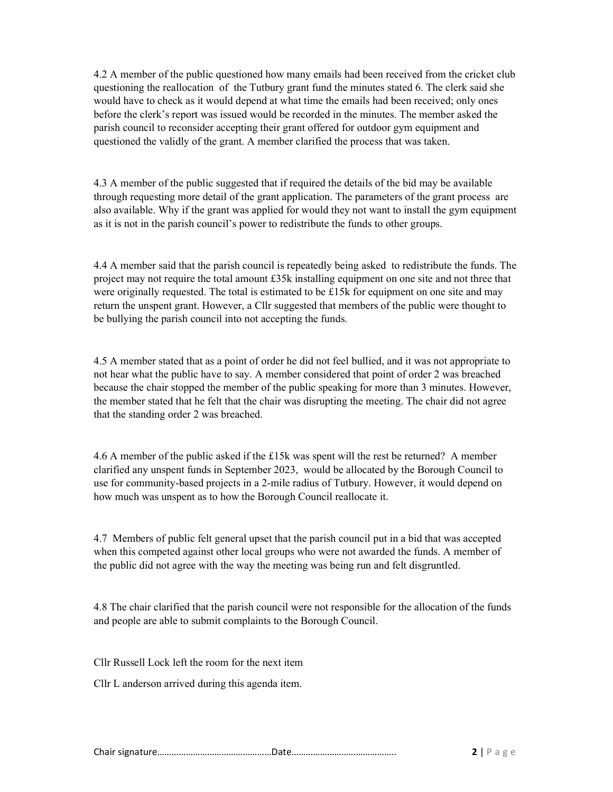4.2 A member of the public questioned how many emails had been received from the cricket club questioning the reallocation of the Tutbury grant fund the minutes stated 6. The clerk said she would have to check as it would depend at what time the emails had been received; only ones before the clerk's report was issued would be recorded in the minutes. The member asked the parish council to reconsider accepting their grant offered for outdoor gym equipment and questioned the validly of the grant. A member clarified the process that was taken.

4.3 A member of the public suggested that if required the details of the bid may be available through requesting more detail of the grant application. The parameters of the grant process are also available. Why if the grant was applied for would they not want to install the gym equipment as it is not in the parish council's power to redistribute the funds to other groups.

4.4 A member said that the parish council is repeatedly being asked to redistribute the funds. The project may not require the total amount £35k installing equipment on one site and not three that were originally requested. The total is estimated to be £15k for equipment on one site and may return the unspent grant. However, a Cllr suggested that members of the public were thought to be bullying the parish council into not accepting the funds.

4.5 A member stated that as a point of order he did not feel bullied, and it was not appropriate to not hear what the public have to say. A member considered that point of order 2 was breached because the chair stopped the member of the public speaking for more than 3 minutes. However, the member stated that he felt that the chair was disrupting the meeting. The chair did not agree that the standing order 2 was breached.

4.6 A member of the public asked if the £15k was spent will the rest be returned? A member clarified any unspent funds in September 2023, would be allocated by the Borough Council to use for community-based projects in a 2-mile radius of Tutbury. However, it would depend on how much was unspent as to how the Borough Council reallocate it.

4.7 Members of public felt general upset that the parish council put in a bid that was accepted when this competed against other local groups who were not awarded the funds. A member of the public did not agree with the way the meeting was being run and felt disgruntled.

4.8 The chair clarified that the parish council were not responsible for the allocation of the funds and people are able to submit complaints to the Borough Council.

Cllr Russell Lock left the room for the next item

Cllr L anderson arrived during this agenda item.

Chair signature…………………………………………Date…………………………………….. 2 | P a g e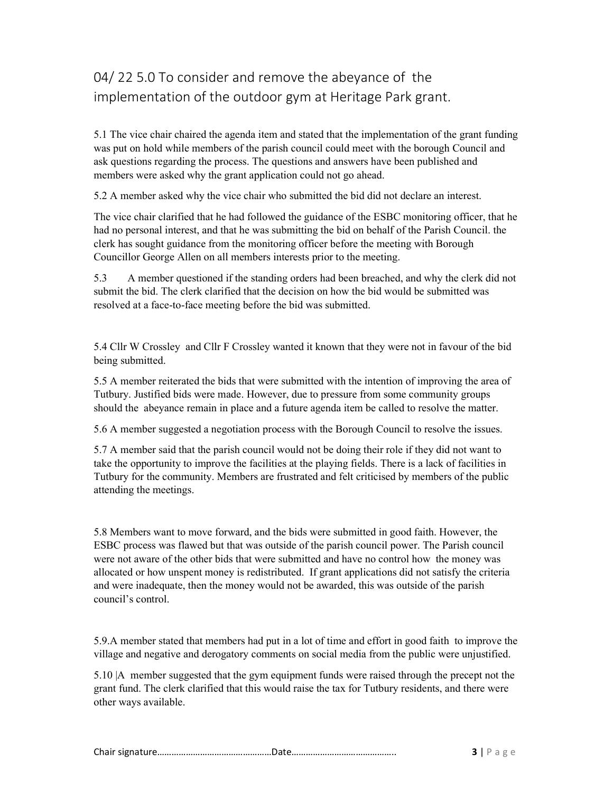# 04/ 22 5.0 To consider and remove the abeyance of the implementation of the outdoor gym at Heritage Park grant.

5.1 The vice chair chaired the agenda item and stated that the implementation of the grant funding was put on hold while members of the parish council could meet with the borough Council and ask questions regarding the process. The questions and answers have been published and members were asked why the grant application could not go ahead.

5.2 A member asked why the vice chair who submitted the bid did not declare an interest.

The vice chair clarified that he had followed the guidance of the ESBC monitoring officer, that he had no personal interest, and that he was submitting the bid on behalf of the Parish Council. the clerk has sought guidance from the monitoring officer before the meeting with Borough Councillor George Allen on all members interests prior to the meeting.

5.3 A member questioned if the standing orders had been breached, and why the clerk did not submit the bid. The clerk clarified that the decision on how the bid would be submitted was resolved at a face-to-face meeting before the bid was submitted.

5.4 Cllr W Crossley and Cllr F Crossley wanted it known that they were not in favour of the bid being submitted.

5.5 A member reiterated the bids that were submitted with the intention of improving the area of Tutbury. Justified bids were made. However, due to pressure from some community groups should the abeyance remain in place and a future agenda item be called to resolve the matter.

5.6 A member suggested a negotiation process with the Borough Council to resolve the issues.

5.7 A member said that the parish council would not be doing their role if they did not want to take the opportunity to improve the facilities at the playing fields. There is a lack of facilities in Tutbury for the community. Members are frustrated and felt criticised by members of the public attending the meetings.

5.8 Members want to move forward, and the bids were submitted in good faith. However, the ESBC process was flawed but that was outside of the parish council power. The Parish council were not aware of the other bids that were submitted and have no control how the money was allocated or how unspent money is redistributed. If grant applications did not satisfy the criteria and were inadequate, then the money would not be awarded, this was outside of the parish council's control.

5.9.A member stated that members had put in a lot of time and effort in good faith to improve the village and negative and derogatory comments on social media from the public were unjustified.

5.10 |A member suggested that the gym equipment funds were raised through the precept not the grant fund. The clerk clarified that this would raise the tax for Tutbury residents, and there were other ways available.

|--|--|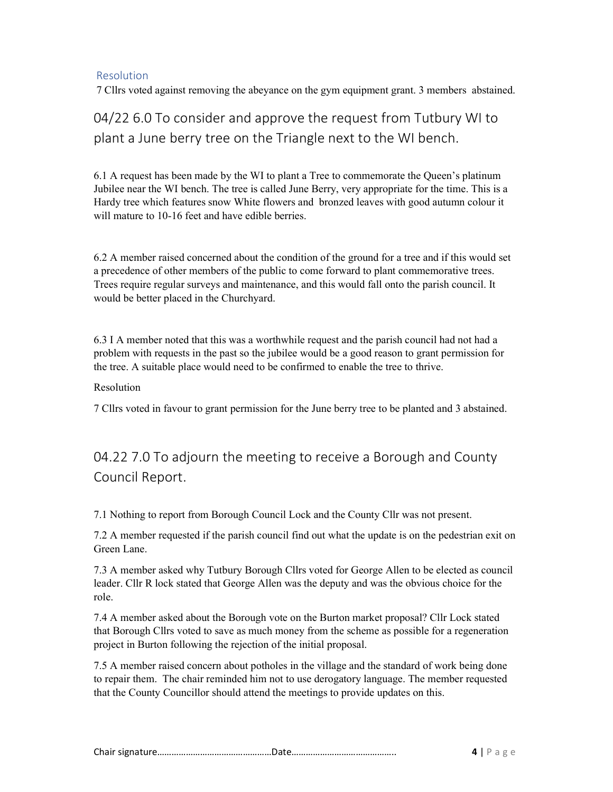#### Resolution

7 Cllrs voted against removing the abeyance on the gym equipment grant. 3 members abstained.

# 04/22 6.0 To consider and approve the request from Tutbury WI to plant a June berry tree on the Triangle next to the WI bench.

6.1 A request has been made by the WI to plant a Tree to commemorate the Queen's platinum Jubilee near the WI bench. The tree is called June Berry, very appropriate for the time. This is a Hardy tree which features snow White flowers and bronzed leaves with good autumn colour it will mature to 10-16 feet and have edible berries.

6.2 A member raised concerned about the condition of the ground for a tree and if this would set a precedence of other members of the public to come forward to plant commemorative trees. Trees require regular surveys and maintenance, and this would fall onto the parish council. It would be better placed in the Churchyard.

6.3 I A member noted that this was a worthwhile request and the parish council had not had a problem with requests in the past so the jubilee would be a good reason to grant permission for the tree. A suitable place would need to be confirmed to enable the tree to thrive.

#### Resolution

7 Cllrs voted in favour to grant permission for the June berry tree to be planted and 3 abstained.

## 04.22 7.0 To adjourn the meeting to receive a Borough and County Council Report.

7.1 Nothing to report from Borough Council Lock and the County Cllr was not present.

7.2 A member requested if the parish council find out what the update is on the pedestrian exit on Green Lane.

7.3 A member asked why Tutbury Borough Cllrs voted for George Allen to be elected as council leader. Cllr R lock stated that George Allen was the deputy and was the obvious choice for the role.

7.4 A member asked about the Borough vote on the Burton market proposal? Cllr Lock stated that Borough Cllrs voted to save as much money from the scheme as possible for a regeneration project in Burton following the rejection of the initial proposal.

7.5 A member raised concern about potholes in the village and the standard of work being done to repair them. The chair reminded him not to use derogatory language. The member requested that the County Councillor should attend the meetings to provide updates on this.

|--|--|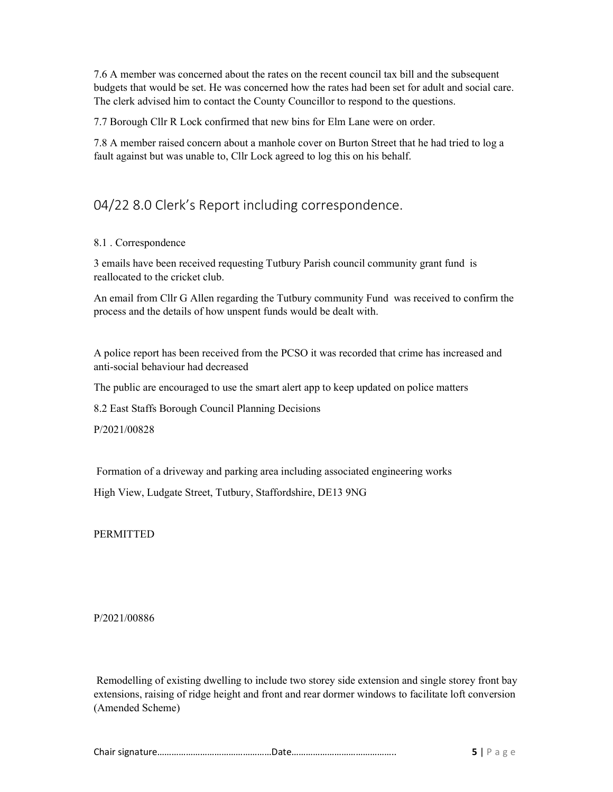7.6 A member was concerned about the rates on the recent council tax bill and the subsequent budgets that would be set. He was concerned how the rates had been set for adult and social care. The clerk advised him to contact the County Councillor to respond to the questions.

7.7 Borough Cllr R Lock confirmed that new bins for Elm Lane were on order.

7.8 A member raised concern about a manhole cover on Burton Street that he had tried to log a fault against but was unable to, Cllr Lock agreed to log this on his behalf.

## 04/22 8.0 Clerk's Report including correspondence.

#### 8.1 . Correspondence

3 emails have been received requesting Tutbury Parish council community grant fund is reallocated to the cricket club.

An email from Cllr G Allen regarding the Tutbury community Fund was received to confirm the process and the details of how unspent funds would be dealt with.

A police report has been received from the PCSO it was recorded that crime has increased and anti-social behaviour had decreased

The public are encouraged to use the smart alert app to keep updated on police matters

8.2 East Staffs Borough Council Planning Decisions

P/2021/00828

Formation of a driveway and parking area including associated engineering works

High View, Ludgate Street, Tutbury, Staffordshire, DE13 9NG

**PERMITTED** 

P/2021/00886

 Remodelling of existing dwelling to include two storey side extension and single storey front bay extensions, raising of ridge height and front and rear dormer windows to facilitate loft conversion (Amended Scheme)

|--|--|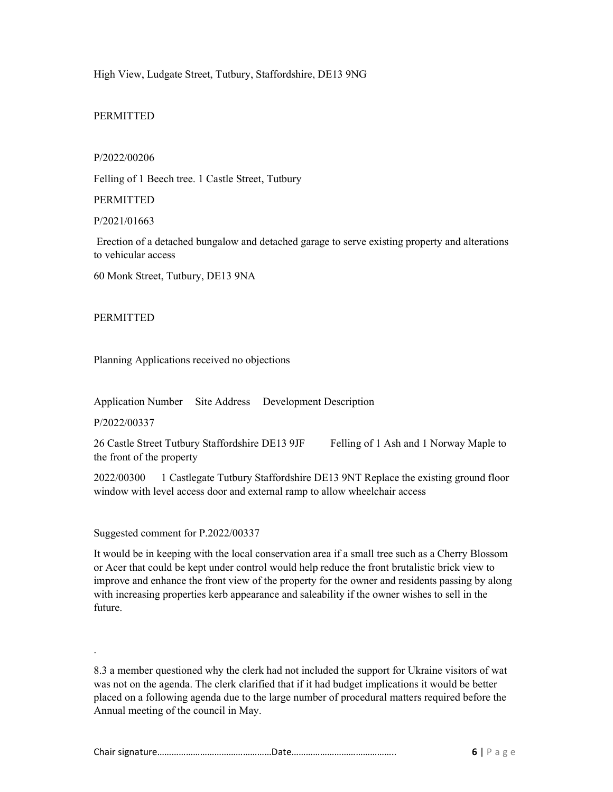High View, Ludgate Street, Tutbury, Staffordshire, DE13 9NG

#### PERMITTED

#### P/2022/00206

Felling of 1 Beech tree. 1 Castle Street, Tutbury

#### **PERMITTED**

P/2021/01663

 Erection of a detached bungalow and detached garage to serve existing property and alterations to vehicular access

60 Monk Street, Tutbury, DE13 9NA

#### PERMITTED

Planning Applications received no objections

Application Number Site Address Development Description

P/2022/00337

.

26 Castle Street Tutbury Staffordshire DE13 9JF Felling of 1 Ash and 1 Norway Maple to the front of the property

2022/00300 1 Castlegate Tutbury Staffordshire DE13 9NT Replace the existing ground floor window with level access door and external ramp to allow wheelchair access

Suggested comment for P.2022/00337

It would be in keeping with the local conservation area if a small tree such as a Cherry Blossom or Acer that could be kept under control would help reduce the front brutalistic brick view to improve and enhance the front view of the property for the owner and residents passing by along with increasing properties kerb appearance and saleability if the owner wishes to sell in the future.

8.3 a member questioned why the clerk had not included the support for Ukraine visitors of wat was not on the agenda. The clerk clarified that if it had budget implications it would be better placed on a following agenda due to the large number of procedural matters required before the Annual meeting of the council in May.

|--|--|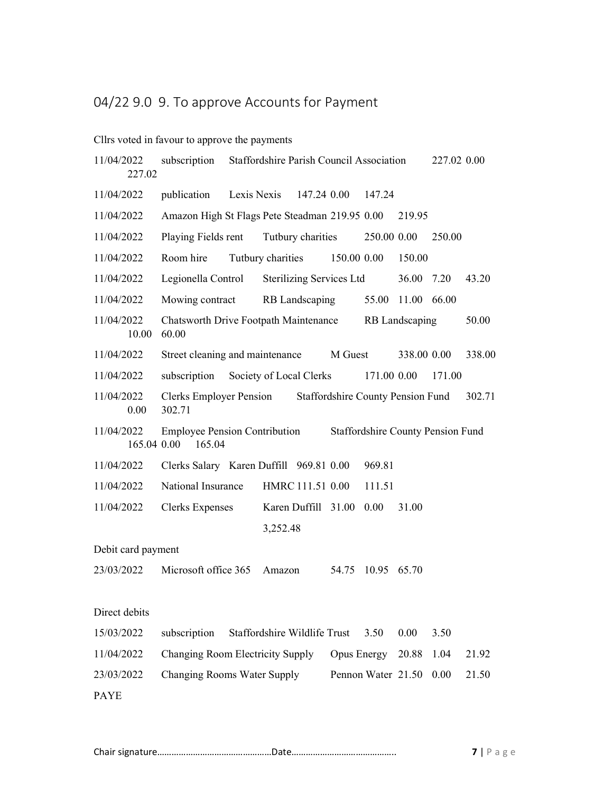# 04/22 9.0 9. To approve Accounts for Payment

### Cllrs voted in favour to approve the payments

| 11/04/2022<br>227.02      | subscription<br>Staffordshire Parish Council Association |  |                              |                                 |                                          |                    | 227.02 0.00    |                                          |        |
|---------------------------|----------------------------------------------------------|--|------------------------------|---------------------------------|------------------------------------------|--------------------|----------------|------------------------------------------|--------|
| 11/04/2022                | publication                                              |  | Lexis Nexis                  | 147.24 0.00                     |                                          | 147.24             |                |                                          |        |
| 11/04/2022                | Amazon High St Flags Pete Steadman 219.95 0.00           |  |                              |                                 |                                          |                    | 219.95         |                                          |        |
| 11/04/2022                | Playing Fields rent                                      |  |                              | Tutbury charities               |                                          | 250.00 0.00        |                | 250.00                                   |        |
| 11/04/2022                | Room hire                                                |  | Tutbury charities            |                                 | 150.00 0.00                              |                    | 150.00         |                                          |        |
| 11/04/2022                | Legionella Control                                       |  |                              | <b>Sterilizing Services Ltd</b> |                                          |                    | 36.00          | 7.20                                     | 43.20  |
| 11/04/2022                | Mowing contract                                          |  |                              | RB Landscaping                  |                                          | 55.00              | 11.00          | 66.00                                    |        |
| 11/04/2022<br>10.00       | <b>Chatsworth Drive Footpath Maintenance</b><br>60.00    |  |                              |                                 |                                          |                    | RB Landscaping |                                          | 50.00  |
| 11/04/2022                | Street cleaning and maintenance                          |  |                              |                                 | M Guest                                  |                    | 338.00 0.00    |                                          | 338.00 |
| 11/04/2022                | subscription                                             |  | Society of Local Clerks      |                                 |                                          | 171.00 0.00        |                | 171.00                                   |        |
| 11/04/2022<br>0.00        | Clerks Employer Pension<br>302.71                        |  |                              |                                 | <b>Staffordshire County Pension Fund</b> |                    |                |                                          | 302.71 |
| 11/04/2022<br>165.04 0.00 | <b>Employee Pension Contribution</b><br>165.04           |  |                              |                                 |                                          |                    |                | <b>Staffordshire County Pension Fund</b> |        |
| 11/04/2022                | Clerks Salary Karen Duffill 969.81 0.00                  |  |                              |                                 |                                          | 969.81             |                |                                          |        |
| 11/04/2022                | National Insurance                                       |  |                              | HMRC 111.51 0.00                |                                          | 111.51             |                |                                          |        |
| 11/04/2022                | <b>Clerks Expenses</b>                                   |  |                              | Karen Duffill 31.00             |                                          | 0.00               | 31.00          |                                          |        |
|                           |                                                          |  | 3,252.48                     |                                 |                                          |                    |                |                                          |        |
| Debit card payment        |                                                          |  |                              |                                 |                                          |                    |                |                                          |        |
| 23/03/2022                | Microsoft office 365                                     |  | Amazon                       |                                 | 54.75                                    | 10.95              | 65.70          |                                          |        |
| Direct debits             |                                                          |  |                              |                                 |                                          |                    |                |                                          |        |
| 15/03/2022                | subscription                                             |  | Staffordshire Wildlife Trust |                                 |                                          | 3.50               | 0.00           | 3.50                                     |        |
| 11/04/2022                | Changing Room Electricity Supply                         |  |                              |                                 | Opus Energy                              |                    | 20.88          | 1.04                                     | 21.92  |
| 23/03/2022                | Changing Rooms Water Supply                              |  |                              |                                 |                                          | Pennon Water 21.50 |                | 0.00                                     | 21.50  |
| PAYE                      |                                                          |  |                              |                                 |                                          |                    |                |                                          |        |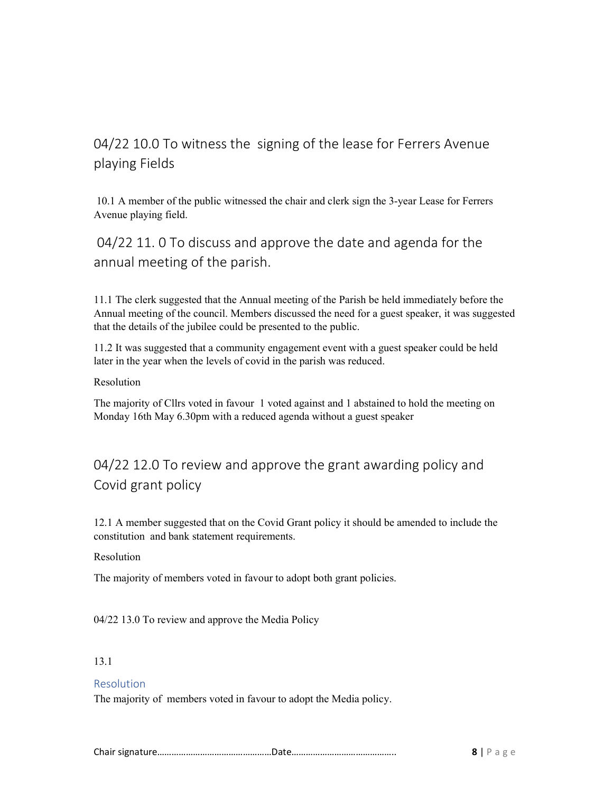# 04/22 10.0 To witness the signing of the lease for Ferrers Avenue playing Fields

 10.1 A member of the public witnessed the chair and clerk sign the 3-year Lease for Ferrers Avenue playing field.

 04/22 11. 0 To discuss and approve the date and agenda for the annual meeting of the parish.

11.1 The clerk suggested that the Annual meeting of the Parish be held immediately before the Annual meeting of the council. Members discussed the need for a guest speaker, it was suggested that the details of the jubilee could be presented to the public.

11.2 It was suggested that a community engagement event with a guest speaker could be held later in the year when the levels of covid in the parish was reduced.

Resolution

The majority of Cllrs voted in favour 1 voted against and 1 abstained to hold the meeting on Monday 16th May 6.30pm with a reduced agenda without a guest speaker

# 04/22 12.0 To review and approve the grant awarding policy and Covid grant policy

12.1 A member suggested that on the Covid Grant policy it should be amended to include the constitution and bank statement requirements.

#### Resolution

The majority of members voted in favour to adopt both grant policies.

04/22 13.0 To review and approve the Media Policy

#### 13.1

#### Resolution

The majority of members voted in favour to adopt the Media policy.

|--|--|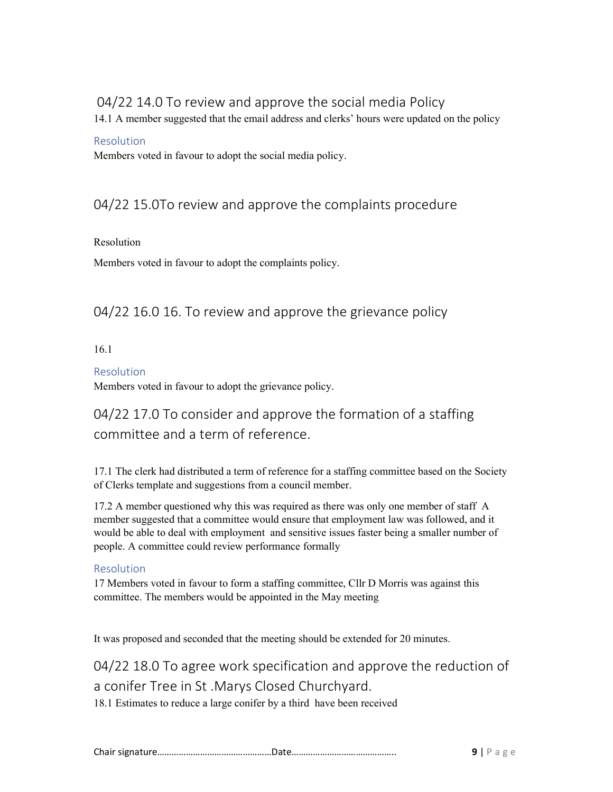## 04/22 14.0 To review and approve the social media Policy

14.1 A member suggested that the email address and clerks' hours were updated on the policy

#### Resolution

Members voted in favour to adopt the social media policy.

## 04/22 15.0To review and approve the complaints procedure

#### Resolution

Members voted in favour to adopt the complaints policy.

### 04/22 16.0 16. To review and approve the grievance policy

#### 16.1

#### Resolution

Members voted in favour to adopt the grievance policy.

## 04/22 17.0 To consider and approve the formation of a staffing committee and a term of reference.

17.1 The clerk had distributed a term of reference for a staffing committee based on the Society of Clerks template and suggestions from a council member.

17.2 A member questioned why this was required as there was only one member of staff A member suggested that a committee would ensure that employment law was followed, and it would be able to deal with employment and sensitive issues faster being a smaller number of people. A committee could review performance formally

#### Resolution

17 Members voted in favour to form a staffing committee, Cllr D Morris was against this committee. The members would be appointed in the May meeting

It was proposed and seconded that the meeting should be extended for 20 minutes.

04/22 18.0 To agree work specification and approve the reduction of a conifer Tree in St .Marys Closed Churchyard.

18.1 Estimates to reduce a large conifer by a third have been received

|--|--|